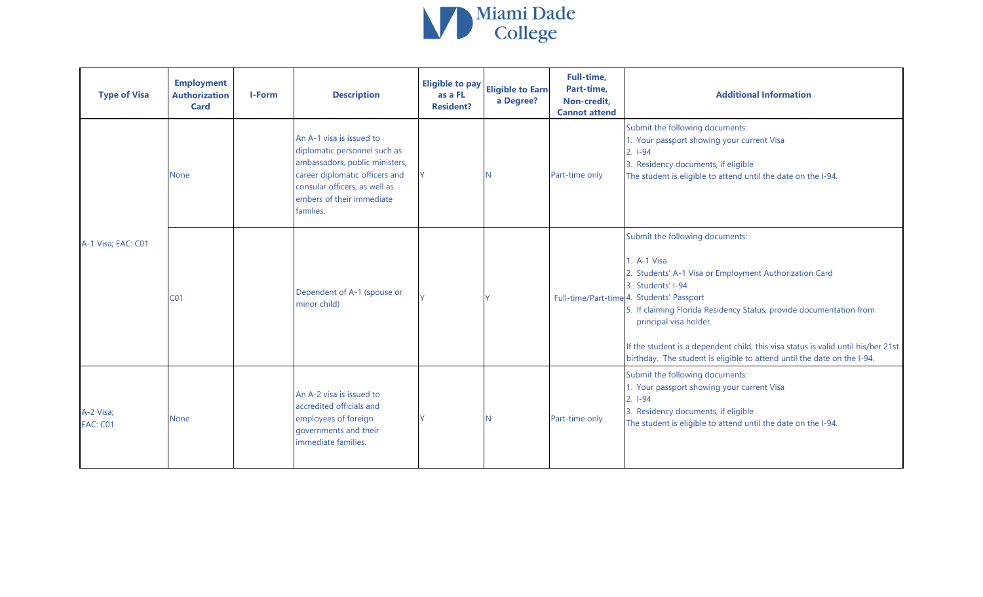

| <b>Type of Visa</b>          | <b>Employment</b><br><b>Authorization</b><br><b>Card</b> | I-Form | <b>Description</b>                                                                                                                                                                                      | <b>Eligible to pay</b><br>as a FL<br><b>Resident?</b> | <b>Eligible to Earn</b><br>a Degree? | Full-time,<br>Part-time,<br>Non-credit,<br><b>Cannot attend</b> | <b>Additional Information</b>                                                                                                                                                                                                                                                                                                                                                                                                               |
|------------------------------|----------------------------------------------------------|--------|---------------------------------------------------------------------------------------------------------------------------------------------------------------------------------------------------------|-------------------------------------------------------|--------------------------------------|-----------------------------------------------------------------|---------------------------------------------------------------------------------------------------------------------------------------------------------------------------------------------------------------------------------------------------------------------------------------------------------------------------------------------------------------------------------------------------------------------------------------------|
|                              | <b>None</b>                                              |        | An A-1 visa is issued to<br>diplomatic personnel such as<br>ambassadors, public ministers,<br>career diplomatic officers and<br>consular officers, as well as<br>embers of their immediate<br>families. |                                                       |                                      | Part-time only                                                  | Submit the following documents:<br>1. Your passport showing your current Visa<br>$2. 1-94$<br>3. Residency documents, if eligible<br>The student is eligible to attend until the date on the I-94.                                                                                                                                                                                                                                          |
| A-1 Visa; EAC: C01           | CO <sub>1</sub>                                          |        | Dependent of A-1 (spouse or<br>minor child)                                                                                                                                                             |                                                       |                                      |                                                                 | Submit the following documents:<br>1. A-1 Visa<br>2. Students' A-1 Visa or Employment Authorization Card<br>3. Students' I-94<br>Full-time/Part-time 4. Students' Passport<br>5. If claiming Florida Residency Status, provide documentation from<br>principal visa holder.<br>If the student is a dependent child, this visa status is valid until his/her 21st<br>birthday. The student is eligible to attend until the date on the I-94. |
| A-2 Visa;<br><b>EAC: C01</b> | <b>None</b>                                              |        | An A-2 visa is issued to<br>accredited officials and<br>employees of foreign<br>governments and their<br>immediate families.                                                                            |                                                       | N                                    | Part-time only                                                  | Submit the following documents:<br>1. Your passport showing your current Visa<br>$2.1-94$<br>3. Residency documents, if eligible<br>The student is eligible to attend until the date on the I-94.                                                                                                                                                                                                                                           |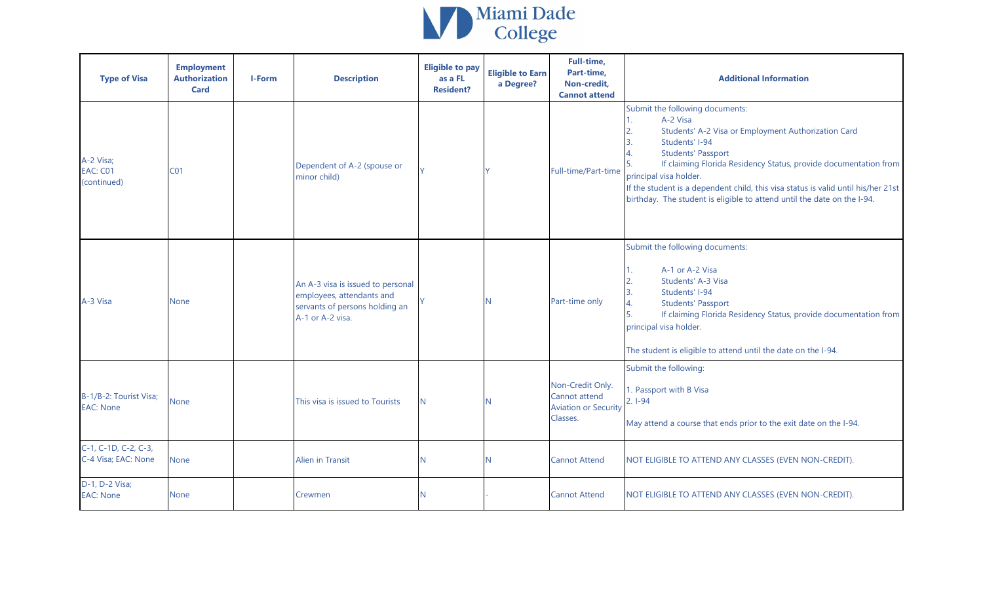

| <b>Type of Visa</b>                         | <b>Employment</b><br><b>Authorization</b><br><b>Card</b> | I-Form | <b>Description</b>                                                                                                   | <b>Eligible to pay</b><br>as a FL<br><b>Resident?</b> | <b>Eligible to Earn</b><br>a Degree? | Full-time,<br>Part-time,<br>Non-credit,<br><b>Cannot attend</b>              | <b>Additional Information</b>                                                                                                                                                                                                                                                                                                                                                                                         |
|---------------------------------------------|----------------------------------------------------------|--------|----------------------------------------------------------------------------------------------------------------------|-------------------------------------------------------|--------------------------------------|------------------------------------------------------------------------------|-----------------------------------------------------------------------------------------------------------------------------------------------------------------------------------------------------------------------------------------------------------------------------------------------------------------------------------------------------------------------------------------------------------------------|
| A-2 Visa;<br>EAC: C01<br>(continued)        | CO <sub>1</sub>                                          |        | Dependent of A-2 (spouse or<br>minor child)                                                                          |                                                       |                                      | Full-time/Part-time                                                          | Submit the following documents:<br>A-2 Visa<br>Students' A-2 Visa or Employment Authorization Card<br>Students' I-94<br>3.<br><b>Students' Passport</b><br>If claiming Florida Residency Status, provide documentation from<br>principal visa holder.<br>If the student is a dependent child, this visa status is valid until his/her 21st<br>birthday. The student is eligible to attend until the date on the I-94. |
| A-3 Visa                                    | None                                                     |        | An A-3 visa is issued to personal<br>employees, attendants and<br>servants of persons holding an<br>A-1 or A-2 visa. |                                                       |                                      | Part-time only                                                               | Submit the following documents:<br>A-1 or A-2 Visa<br>Students' A-3 Visa<br>3.<br>Students' I-94<br>4.<br><b>Students' Passport</b><br>5.<br>If claiming Florida Residency Status, provide documentation from<br>principal visa holder.<br>The student is eligible to attend until the date on the I-94.                                                                                                              |
| B-1/B-2: Tourist Visa;<br><b>EAC: None</b>  | None                                                     |        | This visa is issued to Tourists                                                                                      | N.                                                    |                                      | Non-Credit Only.<br>Cannot attend<br><b>Aviation or Security</b><br>Classes. | Submit the following:<br>1. Passport with B Visa<br>$2.1 - 94$<br>May attend a course that ends prior to the exit date on the I-94.                                                                                                                                                                                                                                                                                   |
| C-1, C-1D, C-2, C-3,<br>C-4 Visa; EAC: None | None                                                     |        | <b>Alien in Transit</b>                                                                                              | N                                                     |                                      | <b>Cannot Attend</b>                                                         | NOT ELIGIBLE TO ATTEND ANY CLASSES (EVEN NON-CREDIT).                                                                                                                                                                                                                                                                                                                                                                 |
| D-1, D-2 Visa;<br><b>EAC: None</b>          | <b>None</b>                                              |        | Crewmen                                                                                                              | N                                                     |                                      | <b>Cannot Attend</b>                                                         | NOT ELIGIBLE TO ATTEND ANY CLASSES (EVEN NON-CREDIT).                                                                                                                                                                                                                                                                                                                                                                 |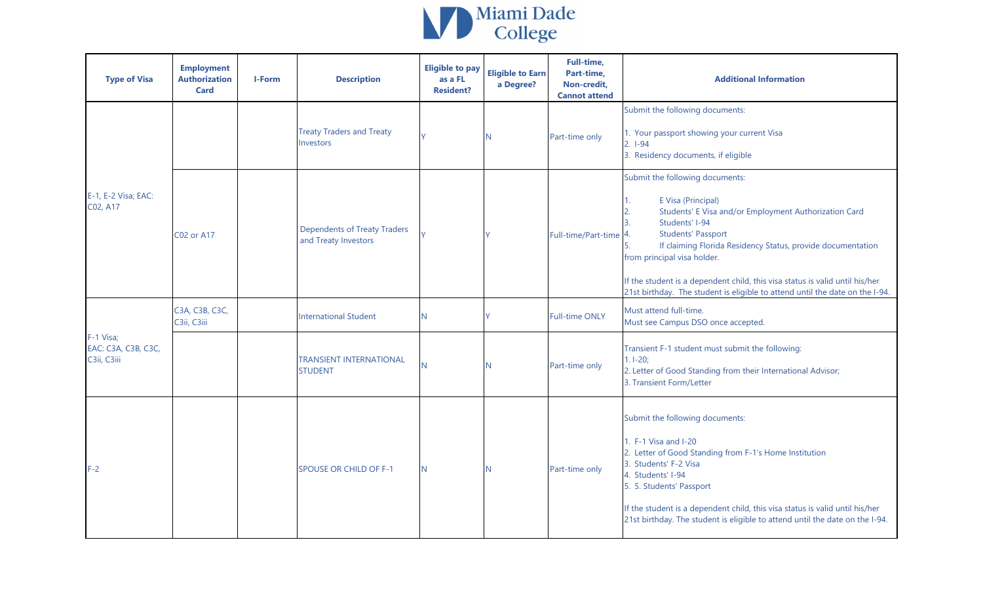

| <b>Type of Visa</b>                             | <b>Employment</b><br><b>Authorization</b><br><b>Card</b> | <b>I-Form</b> | <b>Description</b>                                          | <b>Eligible to pay</b><br>as a FL<br><b>Resident?</b> | <b>Eligible to Earn</b><br>a Degree? | Full-time,<br>Part-time,<br>Non-credit,<br><b>Cannot attend</b> | <b>Additional Information</b>                                                                                                                                                                                                                                                                                                                                                                                                                 |
|-------------------------------------------------|----------------------------------------------------------|---------------|-------------------------------------------------------------|-------------------------------------------------------|--------------------------------------|-----------------------------------------------------------------|-----------------------------------------------------------------------------------------------------------------------------------------------------------------------------------------------------------------------------------------------------------------------------------------------------------------------------------------------------------------------------------------------------------------------------------------------|
|                                                 |                                                          |               | <b>Treaty Traders and Treaty</b><br>Investors               |                                                       | N                                    | Part-time only                                                  | Submit the following documents:<br>1. Your passport showing your current Visa<br>$2. 1-94$<br>3. Residency documents, if eligible                                                                                                                                                                                                                                                                                                             |
| E-1, E-2 Visa; EAC:<br>C02, A17                 | <b>C02 or A17</b>                                        |               | <b>Dependents of Treaty Traders</b><br>and Treaty Investors |                                                       |                                      | Full-time/Part-time                                             | Submit the following documents:<br>E Visa (Principal)<br>1.<br>Students' E Visa and/or Employment Authorization Card<br>Students' I-94<br><b>Students' Passport</b><br>4.<br>If claiming Florida Residency Status, provide documentation<br>5.<br>from principal visa holder.<br>If the student is a dependent child, this visa status is valid until his/her<br>21st birthday. The student is eligible to attend until the date on the I-94. |
|                                                 | C3A, C3B, C3C,<br>C3ii, C3iii                            |               | <b>International Student</b>                                | N.                                                    |                                      | <b>Full-time ONLY</b>                                           | Must attend full-time.<br>Must see Campus DSO once accepted.                                                                                                                                                                                                                                                                                                                                                                                  |
| F-1 Visa;<br>EAC: C3A, C3B, C3C,<br>C3ii, C3iii |                                                          |               | <b>TRANSIENT INTERNATIONAL</b><br><b>STUDENT</b>            | N                                                     | N                                    | Part-time only                                                  | Transient F-1 student must submit the following:<br>$1.1 - 20;$<br>2. Letter of Good Standing from their International Advisor;<br>3. Transient Form/Letter                                                                                                                                                                                                                                                                                   |
| $F-2$                                           |                                                          |               | <b>SPOUSE OR CHILD OF F-1</b>                               | N.                                                    | N                                    | Part-time only                                                  | Submit the following documents:<br>1. F-1 Visa and I-20<br>2. Letter of Good Standing from F-1's Home Institution<br>3. Students' F-2 Visa<br>4. Students' I-94<br>5. 5. Students' Passport<br>If the student is a dependent child, this visa status is valid until his/her<br>21st birthday. The student is eligible to attend until the date on the I-94.                                                                                   |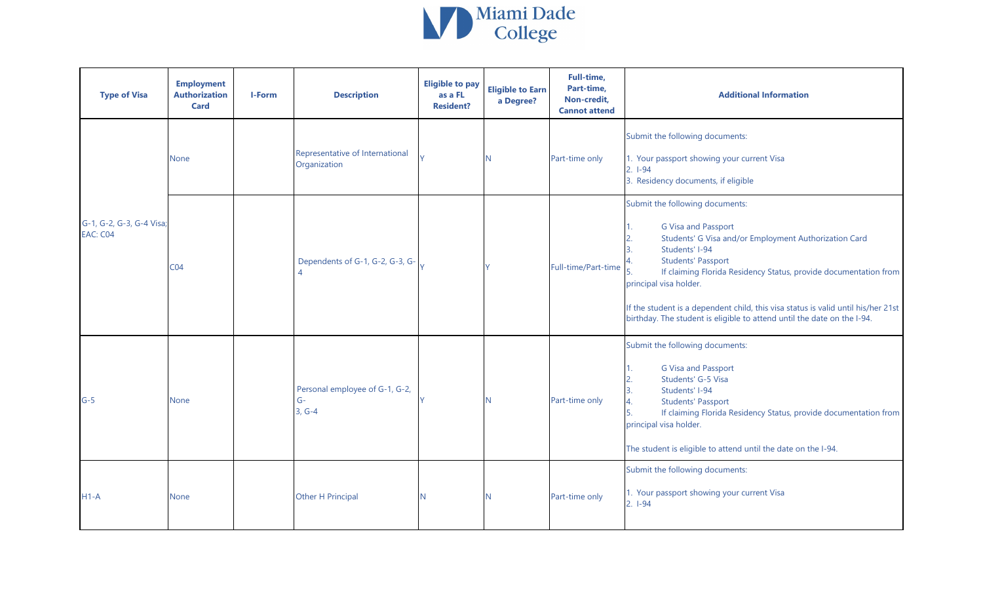

| <b>Type of Visa</b>                         | <b>Employment</b><br><b>Authorization</b><br><b>Card</b> | I-Form | <b>Description</b>                                 | <b>Eligible to pay</b><br>as a FL<br><b>Resident?</b> | <b>Eligible to Earn</b><br>a Degree? | Full-time,<br>Part-time,<br>Non-credit,<br><b>Cannot attend</b> | <b>Additional Information</b>                                                                                                                                                                                                                                                                                                                                                                                                                   |
|---------------------------------------------|----------------------------------------------------------|--------|----------------------------------------------------|-------------------------------------------------------|--------------------------------------|-----------------------------------------------------------------|-------------------------------------------------------------------------------------------------------------------------------------------------------------------------------------------------------------------------------------------------------------------------------------------------------------------------------------------------------------------------------------------------------------------------------------------------|
|                                             | None                                                     |        | Representative of International<br>Organization    |                                                       | N.                                   | Part-time only                                                  | Submit the following documents:<br>1. Your passport showing your current Visa<br>$2.1-94$<br>3. Residency documents, if eligible                                                                                                                                                                                                                                                                                                                |
| G-1, G-2, G-3, G-4 Visa;<br><b>EAC: C04</b> | CO <sub>4</sub>                                          |        | Dependents of G-1, G-2, G-3, G-                    |                                                       |                                      | Full-time/Part-time                                             | Submit the following documents:<br><b>G Visa and Passport</b><br>1.<br>2.<br>Students' G Visa and/or Employment Authorization Card<br>Students' I-94<br><b>Students' Passport</b><br>If claiming Florida Residency Status, provide documentation from<br>principal visa holder.<br>If the student is a dependent child, this visa status is valid until his/her 21st<br>birthday. The student is eligible to attend until the date on the I-94. |
| $G-5$                                       | None                                                     |        | Personal employee of G-1, G-2,<br>$G-$<br>$3, G-4$ |                                                       | N.                                   | Part-time only                                                  | Submit the following documents:<br>G Visa and Passport<br>1.<br>Students' G-5 Visa<br>2.<br>3.<br>Students' I-94<br>4.<br><b>Students' Passport</b><br>5.<br>If claiming Florida Residency Status, provide documentation from<br>principal visa holder.<br>The student is eligible to attend until the date on the I-94.                                                                                                                        |
| $H1-A$                                      | None                                                     |        | Other H Principal                                  | N                                                     | N.                                   | Part-time only                                                  | Submit the following documents:<br>1. Your passport showing your current Visa<br>$2. 1-94$                                                                                                                                                                                                                                                                                                                                                      |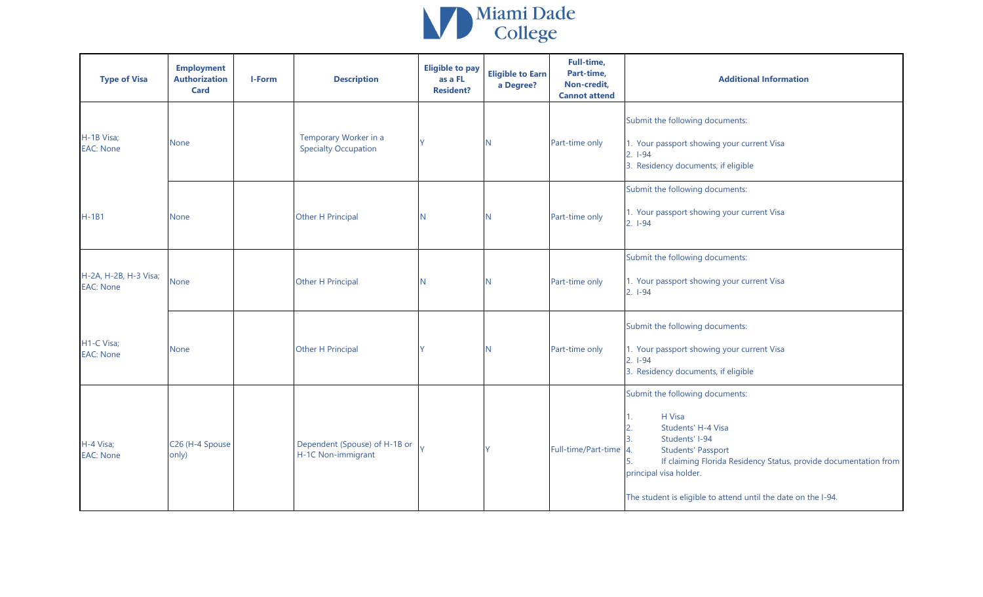

| <b>Type of Visa</b>                       | <b>Employment</b><br><b>Authorization</b><br><b>Card</b> | I-Form | <b>Description</b>                                   | <b>Eligible to pay</b><br>as a FL<br><b>Resident?</b> | <b>Eligible to Earn</b><br>a Degree? | Full-time,<br>Part-time,<br>Non-credit,<br><b>Cannot attend</b> | <b>Additional Information</b>                                                                                                                                                                                                                                                 |
|-------------------------------------------|----------------------------------------------------------|--------|------------------------------------------------------|-------------------------------------------------------|--------------------------------------|-----------------------------------------------------------------|-------------------------------------------------------------------------------------------------------------------------------------------------------------------------------------------------------------------------------------------------------------------------------|
| H-1B Visa;<br><b>EAC: None</b>            | None                                                     |        | Temporary Worker in a<br><b>Specialty Occupation</b> |                                                       | N                                    | Part-time only                                                  | Submit the following documents:<br>1. Your passport showing your current Visa<br>$2.1 - 94$<br>3. Residency documents, if eligible                                                                                                                                            |
| $H-1B1$                                   | <b>None</b>                                              |        | Other H Principal                                    | IN.                                                   | N                                    | Part-time only                                                  | Submit the following documents:<br>1. Your passport showing your current Visa<br>$2.1 - 94$                                                                                                                                                                                   |
| H-2A, H-2B, H-3 Visa;<br><b>EAC: None</b> | <b>None</b>                                              |        | Other H Principal                                    | N                                                     | N                                    | Part-time only                                                  | Submit the following documents:<br>1. Your passport showing your current Visa<br>$2.1-94$                                                                                                                                                                                     |
| H1-C Visa;<br><b>EAC: None</b>            | None                                                     |        | Other H Principal                                    |                                                       | N.                                   | Part-time only                                                  | Submit the following documents:<br>1. Your passport showing your current Visa<br>$2. 1-94$<br>3. Residency documents, if eligible                                                                                                                                             |
| H-4 Visa;<br><b>EAC: None</b>             | C26 (H-4 Spouse<br>only)                                 |        | Dependent (Spouse) of H-1B or<br>H-1C Non-immigrant  |                                                       |                                      | Full-time/Part-time                                             | Submit the following documents:<br>H Visa<br>Students' H-4 Visa<br>Students' I-94<br><b>Students' Passport</b><br>If claiming Florida Residency Status, provide documentation from<br>principal visa holder.<br>The student is eligible to attend until the date on the I-94. |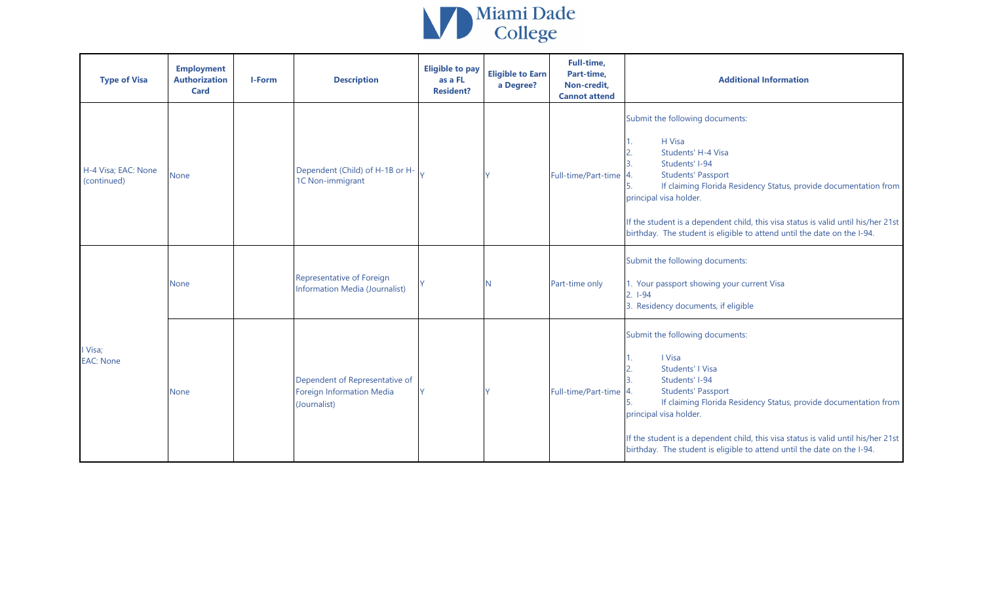

| <b>Type of Visa</b>                | <b>Employment</b><br><b>Authorization</b><br><b>Card</b> | I-Form | <b>Description</b>                                                                 | <b>Eligible to pay</b><br>as a FL<br><b>Resident?</b> | <b>Eligible to Earn</b><br>a Degree? | Full-time,<br>Part-time,<br>Non-credit,<br><b>Cannot attend</b> | <b>Additional Information</b>                                                                                                                                                                                                                                                                                                                                                |
|------------------------------------|----------------------------------------------------------|--------|------------------------------------------------------------------------------------|-------------------------------------------------------|--------------------------------------|-----------------------------------------------------------------|------------------------------------------------------------------------------------------------------------------------------------------------------------------------------------------------------------------------------------------------------------------------------------------------------------------------------------------------------------------------------|
| H-4 Visa; EAC: None<br>(continued) | <b>None</b>                                              |        | Dependent (Child) of H-1B or H-<br>1C Non-immigrant                                |                                                       |                                      | Full-time/Part-time                                             | Submit the following documents:<br>H Visa<br>Students' H-4 Visa<br>Students' I-94<br><b>Students' Passport</b><br>If claiming Florida Residency Status, provide documentation from<br>principal visa holder.<br>If the student is a dependent child, this visa status is valid until his/her 21st<br>birthday. The student is eligible to attend until the date on the I-94. |
| I Visa;<br><b>EAC: None</b>        | <b>None</b>                                              |        | Representative of Foreign<br><b>Information Media (Journalist)</b>                 |                                                       |                                      | Part-time only                                                  | Submit the following documents:<br>1. Your passport showing your current Visa<br>$2.1-94$<br>3. Residency documents, if eligible                                                                                                                                                                                                                                             |
|                                    | <b>None</b>                                              |        | Dependent of Representative of<br><b>Foreign Information Media</b><br>(Journalist) |                                                       |                                      | Full-time/Part-time                                             | Submit the following documents:<br>I Visa<br>Students' I Visa<br>Students' I-94<br><b>Students' Passport</b><br>If claiming Florida Residency Status, provide documentation from<br>principal visa holder.<br>If the student is a dependent child, this visa status is valid until his/her 21st<br>birthday. The student is eligible to attend until the date on the I-94.   |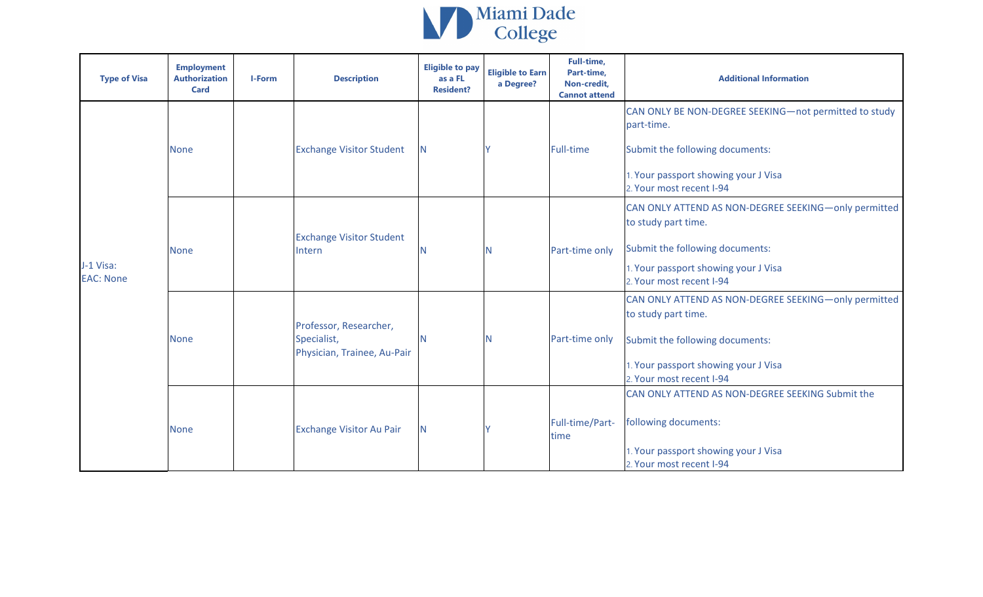

| <b>Type of Visa</b>           | <b>Employment</b><br><b>Authorization</b><br><b>Card</b> | <b>I-Form</b> | <b>Description</b>                                                   | <b>Eligible to pay</b><br>as a FL<br><b>Resident?</b> | <b>Eligible to Earn</b><br>a Degree? | <b>Full-time,</b><br>Part-time,<br>Non-credit,<br><b>Cannot attend</b> | <b>Additional Information</b>                                                                                                                                                      |
|-------------------------------|----------------------------------------------------------|---------------|----------------------------------------------------------------------|-------------------------------------------------------|--------------------------------------|------------------------------------------------------------------------|------------------------------------------------------------------------------------------------------------------------------------------------------------------------------------|
|                               | <b>None</b>                                              |               | <b>Exchange Visitor Student</b>                                      | N.                                                    |                                      | <b>Full-time</b>                                                       | CAN ONLY BE NON-DEGREE SEEKING-not permitted to study<br>part-time.<br>Submit the following documents:<br>1. Your passport showing your J Visa<br>2. Your most recent I-94         |
| J-1 Visa:<br><b>EAC: None</b> | <b>None</b>                                              |               | <b>Exchange Visitor Student</b><br>Intern                            |                                                       | N                                    | Part-time only                                                         | CAN ONLY ATTEND AS NON-DEGREE SEEKING-only permitted<br>to study part time.<br>Submit the following documents:<br>1. Your passport showing your J Visa<br>2. Your most recent I-94 |
|                               | <b>None</b>                                              |               | Professor, Researcher,<br>Specialist,<br>Physician, Trainee, Au-Pair |                                                       | N                                    | Part-time only                                                         | CAN ONLY ATTEND AS NON-DEGREE SEEKING-only permitted<br>to study part time.<br>Submit the following documents:<br>1. Your passport showing your J Visa<br>2. Your most recent I-94 |
|                               | <b>None</b>                                              |               | <b>Exchange Visitor Au Pair</b>                                      | N.                                                    |                                      | Full-time/Part-<br>time                                                | CAN ONLY ATTEND AS NON-DEGREE SEEKING Submit the<br>following documents:<br>1. Your passport showing your J Visa<br>2. Your most recent I-94                                       |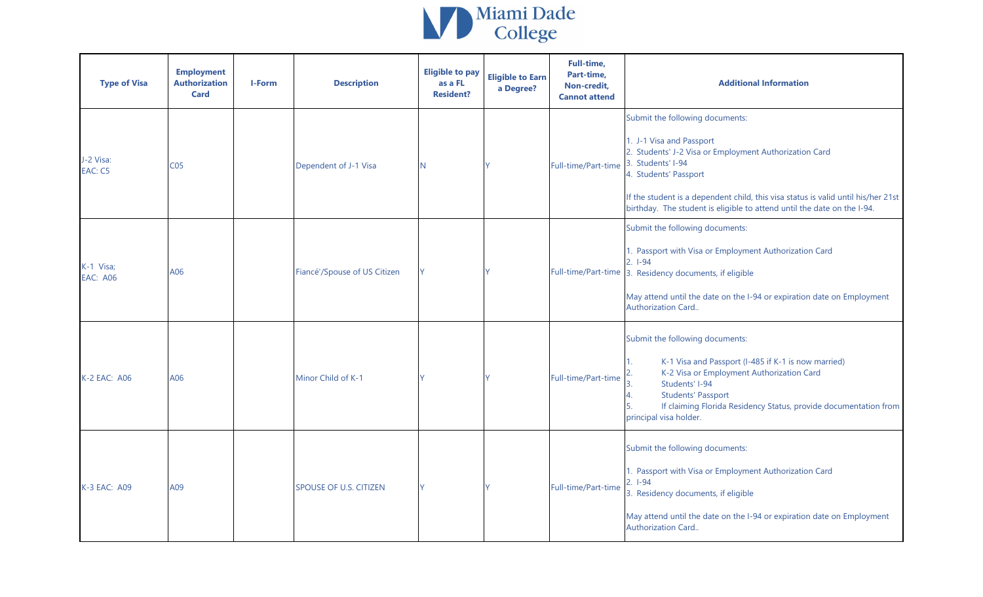

| <b>Type of Visa</b>          | <b>Employment</b><br><b>Authorization</b><br><b>Card</b> | <b>I-Form</b> | <b>Description</b>            | <b>Eligible to pay</b><br>as a FL<br><b>Resident?</b> | <b>Eligible to Earn</b><br>a Degree? | Full-time,<br>Part-time,<br>Non-credit,<br><b>Cannot attend</b> | <b>Additional Information</b>                                                                                                                                                                                                                                                                                                       |
|------------------------------|----------------------------------------------------------|---------------|-------------------------------|-------------------------------------------------------|--------------------------------------|-----------------------------------------------------------------|-------------------------------------------------------------------------------------------------------------------------------------------------------------------------------------------------------------------------------------------------------------------------------------------------------------------------------------|
| J-2 Visa:<br>EAC: C5         | CO <sub>5</sub>                                          |               | Dependent of J-1 Visa         | N                                                     |                                      | Full-time/Part-time                                             | Submit the following documents:<br>1. J-1 Visa and Passport<br>2. Students' J-2 Visa or Employment Authorization Card<br>3. Students' I-94<br>4. Students' Passport<br>If the student is a dependent child, this visa status is valid until his/her 21st<br>birthday. The student is eligible to attend until the date on the I-94. |
| K-1 Visa;<br><b>EAC: A06</b> | A06                                                      |               | Fiancé'/Spouse of US Citizen  | Y.                                                    |                                      |                                                                 | Submit the following documents:<br>1. Passport with Visa or Employment Authorization Card<br>$2.1 - 94$<br>Full-time/Part-time 3. Residency documents, if eligible<br>May attend until the date on the I-94 or expiration date on Employment<br>Authorization Card                                                                  |
| K-2 EAC: A06                 | A06                                                      |               | Minor Child of K-1            | V                                                     |                                      | Full-time/Part-time                                             | Submit the following documents:<br>K-1 Visa and Passport (I-485 if K-1 is now married)<br>K-2 Visa or Employment Authorization Card<br>Students' I-94<br>4.<br><b>Students' Passport</b><br>If claiming Florida Residency Status, provide documentation from<br>principal visa holder.                                              |
| K-3 EAC: A09                 | A09                                                      |               | <b>SPOUSE OF U.S. CITIZEN</b> | Ý                                                     |                                      | Full-time/Part-time                                             | Submit the following documents:<br>1. Passport with Visa or Employment Authorization Card<br>$2.1 - 94$<br>3. Residency documents, if eligible<br>May attend until the date on the I-94 or expiration date on Employment<br>Authorization Card                                                                                      |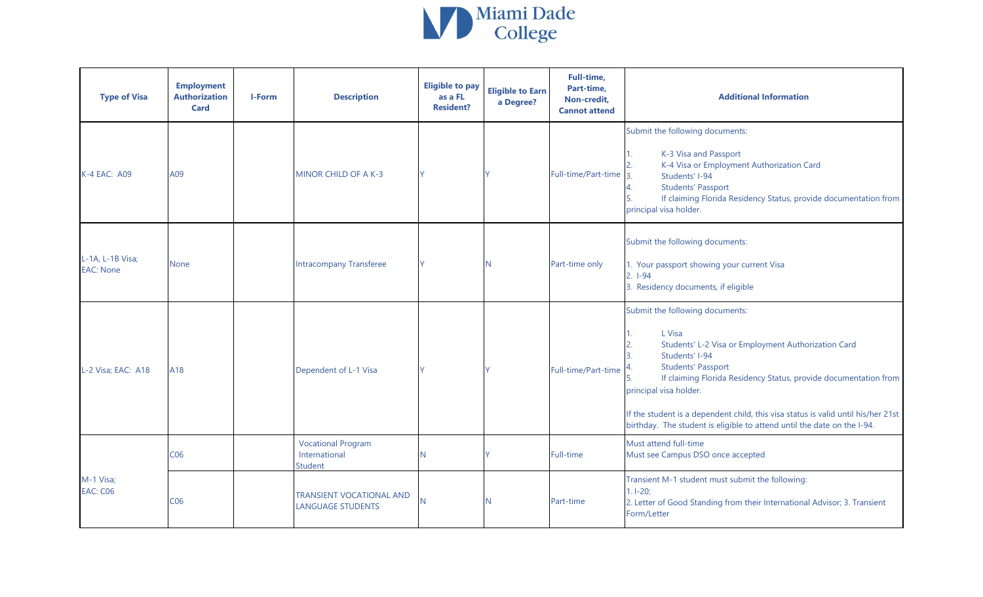

| <b>Type of Visa</b>                  | <b>Employment</b><br><b>Authorization</b><br><b>Card</b> | <b>I-Form</b> | <b>Description</b>                                           | <b>Eligible to pay</b><br>as a FL<br><b>Resident?</b> | <b>Eligible to Earn</b><br>a Degree? | Full-time,<br>Part-time,<br>Non-credit,<br><b>Cannot attend</b> | <b>Additional Information</b>                                                                                                                                                                                                                                                                                                                                                                                 |
|--------------------------------------|----------------------------------------------------------|---------------|--------------------------------------------------------------|-------------------------------------------------------|--------------------------------------|-----------------------------------------------------------------|---------------------------------------------------------------------------------------------------------------------------------------------------------------------------------------------------------------------------------------------------------------------------------------------------------------------------------------------------------------------------------------------------------------|
| <b>K-4 EAC: A09</b>                  | A09                                                      |               | MINOR CHILD OF A K-3                                         |                                                       |                                      | Full-time/Part-time                                             | Submit the following documents:<br>K-3 Visa and Passport<br>K-4 Visa or Employment Authorization Card<br>$\overline{z}$<br>Students' I-94<br><b>Students' Passport</b><br>If claiming Florida Residency Status, provide documentation from<br>principal visa holder.                                                                                                                                          |
| L-1A, L-1B Visa;<br><b>EAC: None</b> | None                                                     |               | <b>Intracompany Transferee</b>                               |                                                       | N                                    | Part-time only                                                  | Submit the following documents:<br>1. Your passport showing your current Visa<br>$2. 1-94$<br>3. Residency documents, if eligible                                                                                                                                                                                                                                                                             |
| L-2 Visa; EAC: A18                   | A18                                                      |               | Dependent of L-1 Visa                                        |                                                       | V                                    | Full-time/Part-time                                             | Submit the following documents:<br>L Visa<br>Students' L-2 Visa or Employment Authorization Card<br>Students' I-94<br><b>Students' Passport</b><br>If claiming Florida Residency Status, provide documentation from<br>principal visa holder.<br>If the student is a dependent child, this visa status is valid until his/her 21st<br>birthday. The student is eligible to attend until the date on the I-94. |
|                                      | C <sub>06</sub>                                          |               | <b>Vocational Program</b><br>International<br><b>Student</b> | N                                                     | Y                                    | <b>Full-time</b>                                                | Must attend full-time<br>Must see Campus DSO once accepted                                                                                                                                                                                                                                                                                                                                                    |
| M-1 Visa;<br><b>EAC: C06</b>         | C <sub>06</sub>                                          |               | <b>TRANSIENT VOCATIONAL AND</b><br><b>LANGUAGE STUDENTS</b>  | N                                                     | N                                    | Part-time                                                       | Transient M-1 student must submit the following:<br>$1.1 - 20;$<br>2. Letter of Good Standing from their International Advisor; 3. Transient<br>Form/Letter                                                                                                                                                                                                                                                   |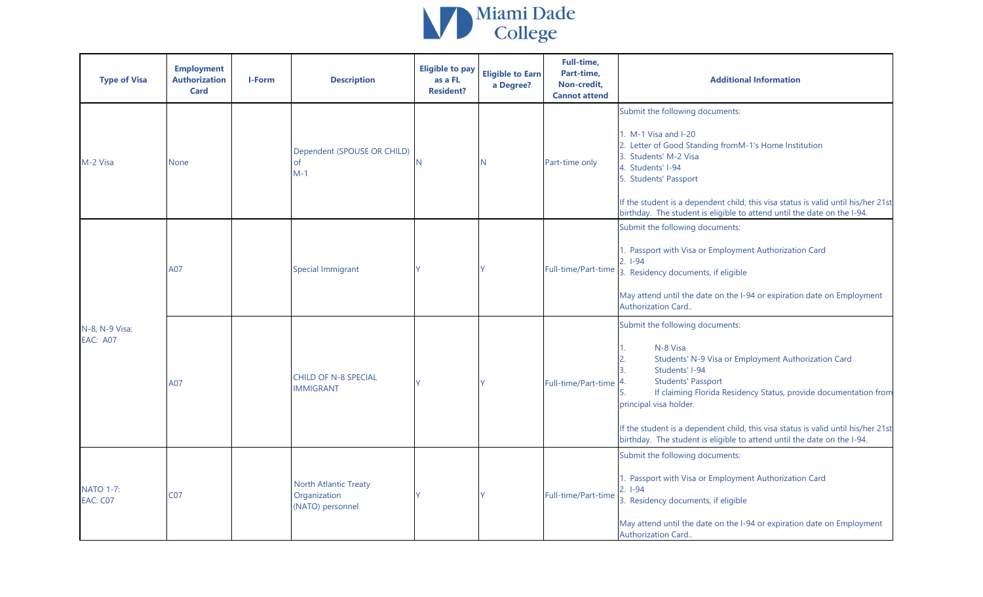

| <b>Type of Visa</b>                 | <b>Employment</b><br><b>Authorization</b><br><b>Card</b> | <b>I-Form</b> | <b>Description</b>                                        | <b>Eligible to pay</b><br>as a FL<br><b>Resident?</b> | <b>Eligible to Earn</b><br>a Degree? | Full-time,<br>Part-time,<br>Non-credit,<br><b>Cannot attend</b> | <b>Additional Information</b>                                                                                                                                                                                                                                                                                                                                                                                   |
|-------------------------------------|----------------------------------------------------------|---------------|-----------------------------------------------------------|-------------------------------------------------------|--------------------------------------|-----------------------------------------------------------------|-----------------------------------------------------------------------------------------------------------------------------------------------------------------------------------------------------------------------------------------------------------------------------------------------------------------------------------------------------------------------------------------------------------------|
| M-2 Visa                            | None                                                     |               | Dependent (SPOUSE OR CHILD)<br><sub>of</sub><br>$M-1$     |                                                       | N                                    | Part-time only                                                  | Submit the following documents:<br>1. M-1 Visa and I-20<br>2. Letter of Good Standing fromM-1's Home Institution<br>3. Students' M-2 Visa<br>4. Students' I-94<br>5. Students' Passport<br>If the student is a dependent child, this visa status is valid until his/her 21st<br>birthday. The student is eligible to attend until the date on the I-94.                                                         |
| N-8, N-9 Visa:<br><b>EAC: A07</b>   | A07                                                      |               | <b>Special Immigrant</b>                                  |                                                       |                                      | Full-time/Part-time                                             | Submit the following documents:<br>1. Passport with Visa or Employment Authorization Card<br>$2. I-94$<br>3. Residency documents, if eligible<br>May attend until the date on the I-94 or expiration date on Employment<br>Authorization Card                                                                                                                                                                   |
|                                     | A07                                                      |               | <b>CHILD OF N-8 SPECIAL</b><br><b>IMMIGRANT</b>           |                                                       |                                      | Full-time/Part-time                                             | Submit the following documents:<br>N-8 Visa<br>Students' N-9 Visa or Employment Authorization Card<br>Students' I-94<br><b>Students' Passport</b><br>If claiming Florida Residency Status, provide documentation from<br>principal visa holder.<br>If the student is a dependent child, this visa status is valid until his/her 21st<br>birthday. The student is eligible to attend until the date on the I-94. |
| <b>NATO 1-7:</b><br><b>EAC: C07</b> | C07                                                      |               | North Atlantic Treaty<br>Organization<br>(NATO) personnel |                                                       |                                      | Full-time/Part-time                                             | Submit the following documents:<br>1. Passport with Visa or Employment Authorization Card<br>$2.1 - 94$<br>3. Residency documents, if eligible<br>May attend until the date on the I-94 or expiration date on Employment<br>Authorization Card                                                                                                                                                                  |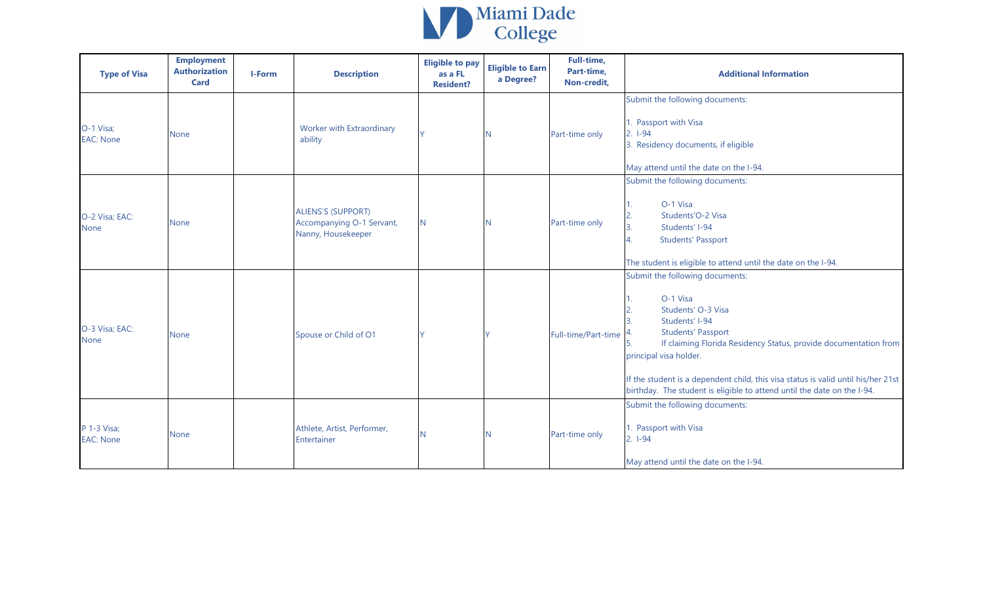

| <b>Type of Visa</b>             | <b>Employment</b><br><b>Authorization</b><br><b>Card</b> | <b>I-Form</b> | <b>Description</b>                                                           | <b>Eligible to pay</b><br>as a FL<br><b>Resident?</b> | <b>Eligible to Earn</b><br>a Degree? | Full-time,<br>Part-time,<br>Non-credit, | <b>Additional Information</b>                                                                                                                                                                                                                                                                                                                                                        |
|---------------------------------|----------------------------------------------------------|---------------|------------------------------------------------------------------------------|-------------------------------------------------------|--------------------------------------|-----------------------------------------|--------------------------------------------------------------------------------------------------------------------------------------------------------------------------------------------------------------------------------------------------------------------------------------------------------------------------------------------------------------------------------------|
| O-1 Visa;<br><b>EAC: None</b>   | None                                                     |               | Worker with Extraordinary<br>ability                                         |                                                       |                                      | Part-time only                          | Submit the following documents:<br>1. Passport with Visa<br>$2. 1-94$<br>3. Residency documents, if eligible<br>May attend until the date on the I-94.                                                                                                                                                                                                                               |
| O-2 Visa; EAC:<br><b>None</b>   | None                                                     |               | <b>ALIENS'S (SUPPORT)</b><br>Accompanying O-1 Servant,<br>Nanny, Housekeeper | N                                                     |                                      | Part-time only                          | Submit the following documents:<br>O-1 Visa<br>2.<br>Students'O-2 Visa<br>3.<br>Students' I-94<br>4.<br><b>Students' Passport</b><br>The student is eligible to attend until the date on the I-94.                                                                                                                                                                                   |
| O-3 Visa; EAC:<br><b>None</b>   | None                                                     |               | Spouse or Child of O1                                                        | V                                                     |                                      | Full-time/Part-time                     | Submit the following documents:<br>O-1 Visa<br>Students' O-3 Visa<br>Students' I-94<br><b>Students' Passport</b><br>If claiming Florida Residency Status, provide documentation from<br>5.<br>principal visa holder.<br>If the student is a dependent child, this visa status is valid until his/her 21st<br>birthday. The student is eligible to attend until the date on the I-94. |
| P 1-3 Visa;<br><b>EAC: None</b> | None                                                     |               | Athlete, Artist, Performer,<br>Entertainer                                   | N                                                     |                                      | Part-time only                          | Submit the following documents:<br>1. Passport with Visa<br>$2.1-94$<br>May attend until the date on the I-94.                                                                                                                                                                                                                                                                       |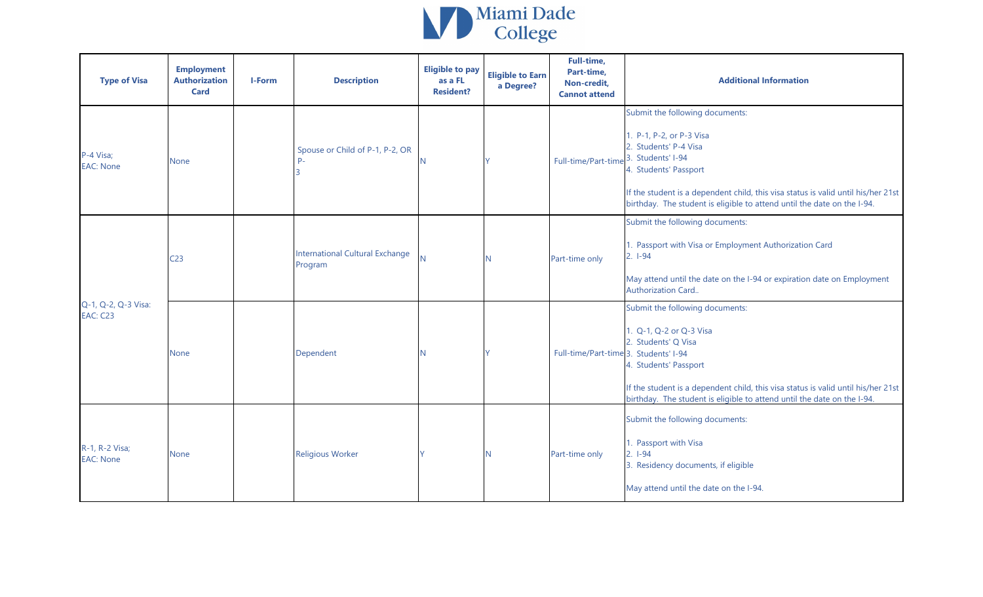

| <b>Type of Visa</b>                    | <b>Employment</b><br><b>Authorization</b><br><b>Card</b> | I-Form | <b>Description</b>                                | <b>Eligible to pay</b><br>as a FL<br><b>Resident?</b> | <b>Eligible to Earn</b><br>a Degree? | Full-time,<br>Part-time,<br>Non-credit,<br><b>Cannot attend</b> | <b>Additional Information</b>                                                                                                                                                                                                                                                 |
|----------------------------------------|----------------------------------------------------------|--------|---------------------------------------------------|-------------------------------------------------------|--------------------------------------|-----------------------------------------------------------------|-------------------------------------------------------------------------------------------------------------------------------------------------------------------------------------------------------------------------------------------------------------------------------|
| P-4 Visa;<br><b>EAC: None</b>          | None                                                     |        | Spouse or Child of P-1, P-2, OR<br>$P -$          |                                                       |                                      | Full-time/Part-time 3. Students' I-94                           | Submit the following documents:<br>1. P-1, P-2, or P-3 Visa<br>2. Students' P-4 Visa<br>4. Students' Passport<br>If the student is a dependent child, this visa status is valid until his/her 21st<br>birthday. The student is eligible to attend until the date on the I-94. |
| Q-1, Q-2, Q-3 Visa:<br><b>EAC: C23</b> | C <sub>23</sub>                                          |        | <b>International Cultural Exchange</b><br>Program | N <sub>1</sub>                                        |                                      | Part-time only                                                  | Submit the following documents:<br>I. Passport with Visa or Employment Authorization Card<br>$2.1 - 94$<br>May attend until the date on the I-94 or expiration date on Employment<br>Authorization Card                                                                       |
|                                        | None                                                     |        | Dependent                                         | N.                                                    |                                      | Full-time/Part-time 3. Students' I-94                           | Submit the following documents:<br>1. Q-1, Q-2 or Q-3 Visa<br>2. Students' Q Visa<br>4. Students' Passport<br>If the student is a dependent child, this visa status is valid until his/her 21st<br>birthday. The student is eligible to attend until the date on the I-94.    |
| R-1, R-2 Visa;<br><b>EAC: None</b>     | None                                                     |        | <b>Religious Worker</b>                           |                                                       |                                      | Part-time only                                                  | Submit the following documents:<br>1. Passport with Visa<br>$2. 1-94$<br>3. Residency documents, if eligible<br>May attend until the date on the I-94.                                                                                                                        |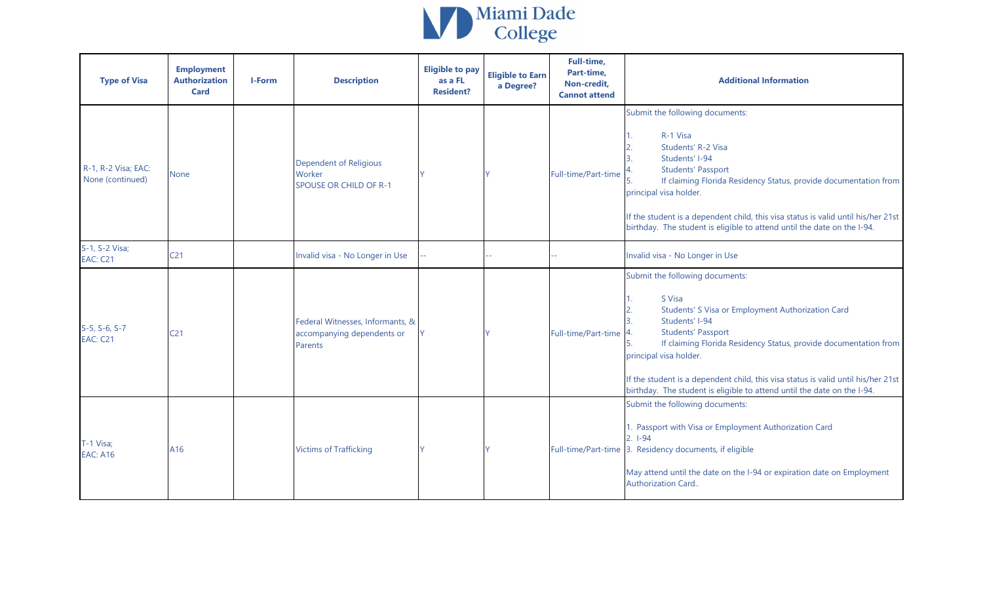

| <b>Type of Visa</b>                     | <b>Employment</b><br><b>Authorization</b><br><b>Card</b> | <b>I-Form</b> | <b>Description</b>                                                        | <b>Eligible to pay</b><br>as a FL<br><b>Resident?</b> | <b>Eligible to Earn</b><br>a Degree? | Full-time,<br>Part-time,<br>Non-credit,<br><b>Cannot attend</b> | <b>Additional Information</b>                                                                                                                                                                                                                                                                                                                                                                                     |
|-----------------------------------------|----------------------------------------------------------|---------------|---------------------------------------------------------------------------|-------------------------------------------------------|--------------------------------------|-----------------------------------------------------------------|-------------------------------------------------------------------------------------------------------------------------------------------------------------------------------------------------------------------------------------------------------------------------------------------------------------------------------------------------------------------------------------------------------------------|
| R-1, R-2 Visa; EAC:<br>None (continued) | <b>None</b>                                              |               | <b>Dependent of Religious</b><br>Worker<br><b>SPOUSE OR CHILD OF R-1</b>  |                                                       |                                      | Full-time/Part-time                                             | Submit the following documents:<br>R-1 Visa<br>Students' R-2 Visa<br>Students' I-94<br><b>Students' Passport</b><br>If claiming Florida Residency Status, provide documentation from<br>principal visa holder.<br>If the student is a dependent child, this visa status is valid until his/her 21st<br>birthday. The student is eligible to attend until the date on the I-94.                                    |
| S-1, S-2 Visa;<br><b>EAC: C21</b>       | C <sub>21</sub>                                          |               | Invalid visa - No Longer in Use                                           |                                                       |                                      |                                                                 | Invalid visa - No Longer in Use                                                                                                                                                                                                                                                                                                                                                                                   |
| S-5, S-6, S-7<br><b>EAC: C21</b>        | C <sub>21</sub>                                          |               | Federal Witnesses, Informants, &<br>accompanying dependents or<br>Parents |                                                       |                                      | Full-time/Part-time                                             | Submit the following documents:<br>S Visa<br>Students' S Visa or Employment Authorization Card<br>Students' I-94<br><b>Students' Passport</b><br>4.<br>If claiming Florida Residency Status, provide documentation from<br>principal visa holder.<br>If the student is a dependent child, this visa status is valid until his/her 21st<br>birthday. The student is eligible to attend until the date on the I-94. |
| T-1 Visa;<br><b>EAC: A16</b>            | A16                                                      |               | <b>Victims of Trafficking</b>                                             |                                                       |                                      |                                                                 | Submit the following documents:<br>1. Passport with Visa or Employment Authorization Card<br>$2.1 - 94$<br>Full-time/Part-time 3. Residency documents, if eligible<br>May attend until the date on the I-94 or expiration date on Employment<br>Authorization Card                                                                                                                                                |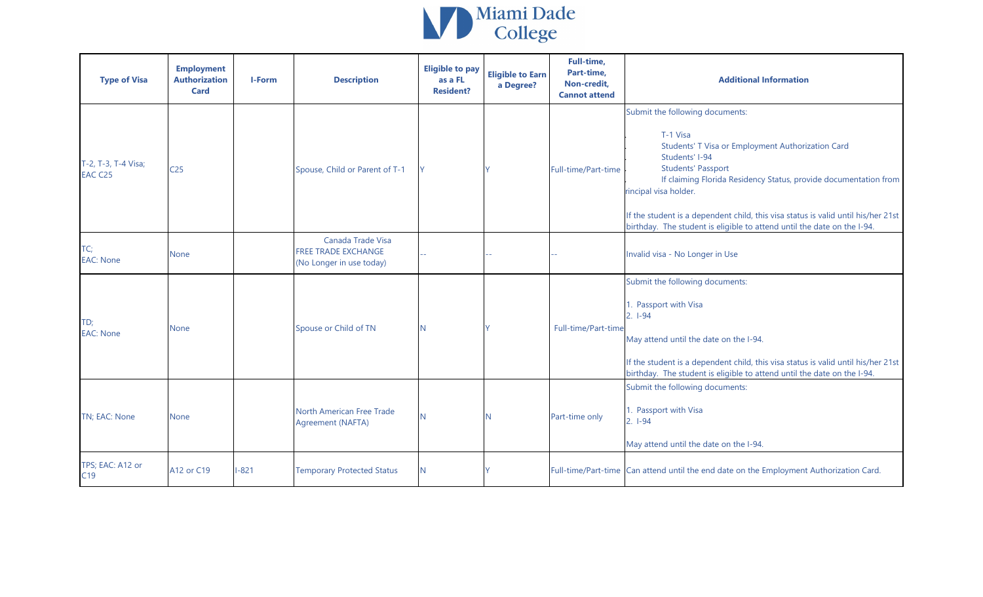

| <b>Type of Visa</b>            | <b>Employment</b><br><b>Authorization</b><br><b>Card</b> | I-Form    | <b>Description</b>                                                   | <b>Eligible to pay</b><br>as a FL<br><b>Resident?</b> | <b>Eligible to Earn</b><br>a Degree? | Full-time,<br>Part-time,<br>Non-credit,<br><b>Cannot attend</b> | <b>Additional Information</b>                                                                                                                                                                                                                                                                                                                                                                                |
|--------------------------------|----------------------------------------------------------|-----------|----------------------------------------------------------------------|-------------------------------------------------------|--------------------------------------|-----------------------------------------------------------------|--------------------------------------------------------------------------------------------------------------------------------------------------------------------------------------------------------------------------------------------------------------------------------------------------------------------------------------------------------------------------------------------------------------|
| T-2, T-3, T-4 Visa;<br>EAC C25 | C <sub>25</sub>                                          |           | Spouse, Child or Parent of T-1                                       | <b>Y</b>                                              |                                      | Full-time/Part-time                                             | Submit the following documents:<br>T-1 Visa<br>Students' T Visa or Employment Authorization Card<br>Students' I-94<br><b>Students' Passport</b><br>If claiming Florida Residency Status, provide documentation from<br>rincipal visa holder.<br>If the student is a dependent child, this visa status is valid until his/her 21st<br>birthday. The student is eligible to attend until the date on the I-94. |
| TC;<br><b>EAC: None</b>        | None                                                     |           | Canada Trade Visa<br>FREE TRADE EXCHANGE<br>(No Longer in use today) |                                                       |                                      |                                                                 | Invalid visa - No Longer in Use                                                                                                                                                                                                                                                                                                                                                                              |
| TD;<br><b>EAC: None</b>        | None                                                     |           | Spouse or Child of TN                                                | <b>N</b>                                              |                                      | Full-time/Part-time                                             | Submit the following documents:<br>1. Passport with Visa<br>$2.1 - 94$<br>May attend until the date on the I-94.<br>If the student is a dependent child, this visa status is valid until his/her 21st<br>birthday. The student is eligible to attend until the date on the I-94.                                                                                                                             |
| TN; EAC: None                  | <b>None</b>                                              |           | North American Free Trade<br>Agreement (NAFTA)                       | IN.                                                   | N                                    | Part-time only                                                  | Submit the following documents:<br>1. Passport with Visa<br>$2. 1-94$<br>May attend until the date on the I-94.                                                                                                                                                                                                                                                                                              |
| TPS; EAC: A12 or<br>C19        | A12 or C19                                               | $1 - 821$ | <b>Temporary Protected Status</b>                                    | N                                                     |                                      |                                                                 | Full-time/Part-time Can attend until the end date on the Employment Authorization Card.                                                                                                                                                                                                                                                                                                                      |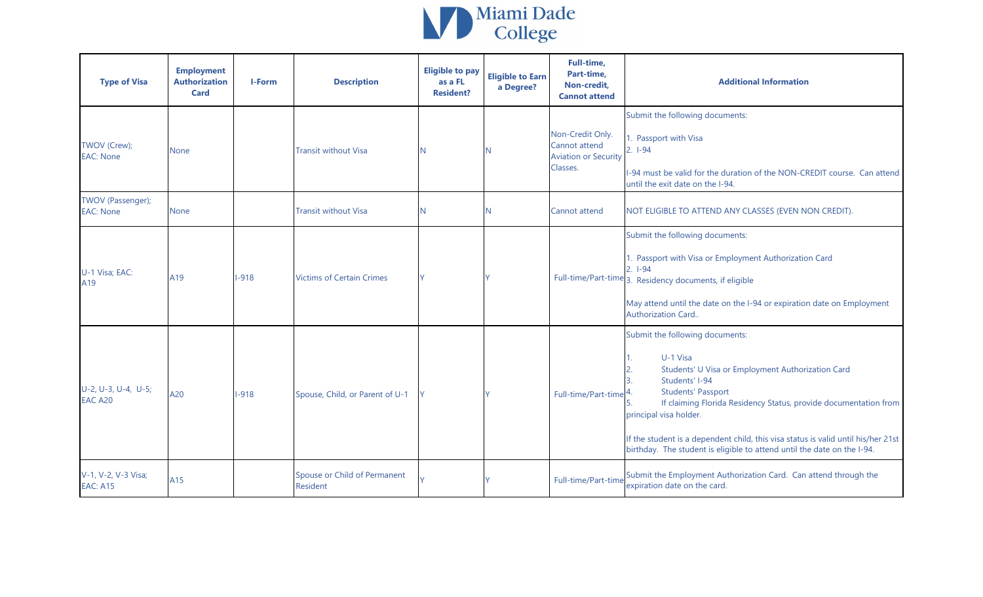

| <b>Type of Visa</b>                    | <b>Employment</b><br><b>Authorization</b><br><b>Card</b> | I-Form | <b>Description</b>                              | <b>Eligible to pay</b><br>as a FL<br><b>Resident?</b> | <b>Eligible to Earn</b><br>a Degree? | Full-time,<br>Part-time,<br>Non-credit,<br><b>Cannot attend</b>  | <b>Additional Information</b>                                                                                                                                                                                                                                                                                                                                                                                 |
|----------------------------------------|----------------------------------------------------------|--------|-------------------------------------------------|-------------------------------------------------------|--------------------------------------|------------------------------------------------------------------|---------------------------------------------------------------------------------------------------------------------------------------------------------------------------------------------------------------------------------------------------------------------------------------------------------------------------------------------------------------------------------------------------------------|
| TWOV (Crew);<br><b>EAC: None</b>       | None                                                     |        | <b>Transit without Visa</b>                     |                                                       | N                                    | Non-Credit Only.<br>Cannot attend<br><b>Aviation or Security</b> | Submit the following documents:<br>1. Passport with Visa<br>$2. 1-94$                                                                                                                                                                                                                                                                                                                                         |
|                                        |                                                          |        |                                                 |                                                       |                                      | Classes.                                                         | I-94 must be valid for the duration of the NON-CREDIT course. Can attend<br>until the exit date on the I-94.                                                                                                                                                                                                                                                                                                  |
| TWOV (Passenger);<br><b>EAC: None</b>  | <b>None</b>                                              |        | <b>Transit without Visa</b>                     | N.                                                    | N                                    | Cannot attend                                                    | NOT ELIGIBLE TO ATTEND ANY CLASSES (EVEN NON CREDIT).                                                                                                                                                                                                                                                                                                                                                         |
| U-1 Visa; EAC:<br>A19                  | A19                                                      | $-918$ | <b>Victims of Certain Crimes</b>                |                                                       |                                      |                                                                  | Submit the following documents:<br>1. Passport with Visa or Employment Authorization Card<br>$2.1 - 94$<br>Full-time/Part-time 3. Residency documents, if eligible<br>May attend until the date on the I-94 or expiration date on Employment<br>Authorization Card                                                                                                                                            |
| U-2, U-3, U-4, U-5;<br>EAC A20         | A20                                                      | $-918$ | Spouse, Child, or Parent of U-1                 |                                                       |                                      | Full-time/Part-time                                              | Submit the following documents:<br>U-1 Visa<br>Students' U Visa or Employment Authorization Card<br>Students' I-94<br><b>Students' Passport</b><br>If claiming Florida Residency Status, provide documentation from<br>principal visa holder.<br>If the student is a dependent child, this visa status is valid until his/her 21st<br>birthday. The student is eligible to attend until the date on the I-94. |
| V-1, V-2, V-3 Visa;<br><b>EAC: A15</b> | A15                                                      |        | Spouse or Child of Permanent<br><b>Resident</b> |                                                       |                                      | Full-time/Part-time                                              | Submit the Employment Authorization Card. Can attend through the<br>expiration date on the card.                                                                                                                                                                                                                                                                                                              |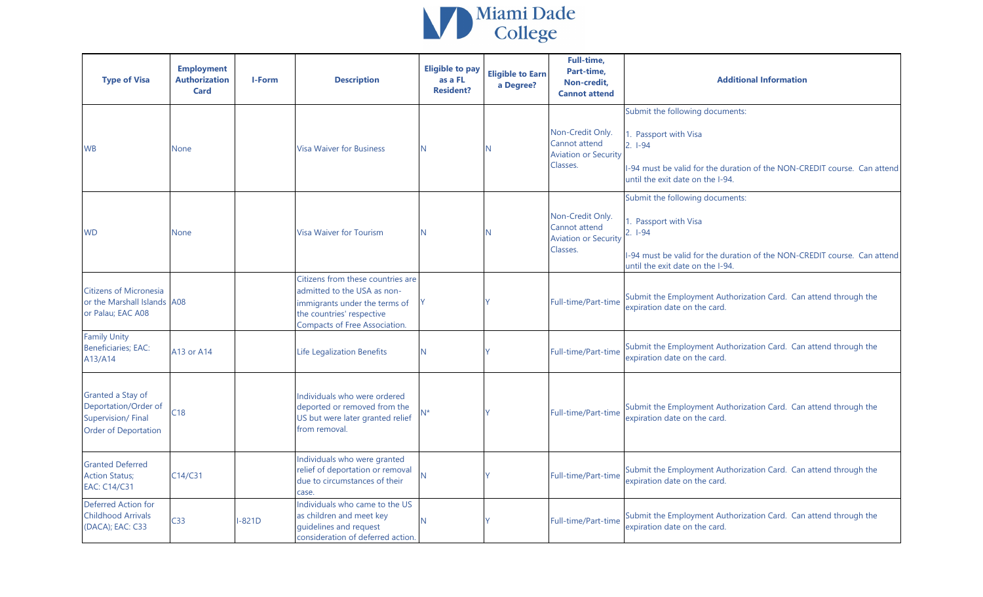

| <b>Type of Visa</b>                                                                           | <b>Employment</b><br><b>Authorization</b><br>Card | <b>I-Form</b> | <b>Description</b>                                                                                                                                                     | <b>Eligible to pay</b><br>as a FL<br><b>Resident?</b> | <b>Eligible to Earn</b><br>a Degree? | Full-time,<br>Part-time,<br>Non-credit.<br><b>Cannot attend</b>              | <b>Additional Information</b>                                                                                                                                                         |
|-----------------------------------------------------------------------------------------------|---------------------------------------------------|---------------|------------------------------------------------------------------------------------------------------------------------------------------------------------------------|-------------------------------------------------------|--------------------------------------|------------------------------------------------------------------------------|---------------------------------------------------------------------------------------------------------------------------------------------------------------------------------------|
| <b>WB</b>                                                                                     | <b>None</b>                                       |               | <b>Visa Waiver for Business</b>                                                                                                                                        | N.                                                    | N                                    | Non-Credit Only.<br>Cannot attend<br><b>Aviation or Security</b><br>Classes. | Submit the following documents:<br>. Passport with Visa<br>$2. 1-94$<br>-94 must be valid for the duration of the NON-CREDIT course. Can attend<br>until the exit date on the I-94.   |
| <b>WD</b>                                                                                     | <b>None</b>                                       |               | <b>Visa Waiver for Tourism</b>                                                                                                                                         | N                                                     | N                                    | Non-Credit Only.<br>Cannot attend<br><b>Aviation or Security</b><br>Classes. | Submit the following documents:<br>. Passport with Visa<br>$2.1 - 94$<br>I-94 must be valid for the duration of the NON-CREDIT course. Can attend<br>until the exit date on the I-94. |
| <b>Citizens of Micronesia</b><br>or the Marshall Islands A08<br>or Palau; EAC A08             |                                                   |               | Citizens from these countries are<br>admitted to the USA as non-<br>immigrants under the terms of<br>the countries' respective<br><b>Compacts of Free Association.</b> | Y                                                     |                                      | Full-time/Part-time                                                          | Submit the Employment Authorization Card. Can attend through the<br>expiration date on the card.                                                                                      |
| <b>Family Unity</b><br><b>Beneficiaries; EAC:</b><br>A13/A14                                  | A13 or A14                                        |               | <b>Life Legalization Benefits</b>                                                                                                                                      | N.                                                    |                                      | Full-time/Part-time                                                          | Submit the Employment Authorization Card. Can attend through the<br>expiration date on the card.                                                                                      |
| Granted a Stay of<br>Deportation/Order of<br>Supervision/Final<br><b>Order of Deportation</b> | C18                                               |               | Individuals who were ordered<br>deported or removed from the<br>US but were later granted relief<br>from removal.                                                      | $N^*$                                                 |                                      | Full-time/Part-time                                                          | Submit the Employment Authorization Card. Can attend through the<br>expiration date on the card.                                                                                      |
| <b>Granted Deferred</b><br><b>Action Status;</b><br><b>EAC: C14/C31</b>                       | C14/C31                                           |               | Individuals who were granted<br>relief of deportation or removal<br>due to circumstances of their<br>case.                                                             | N                                                     |                                      | Full-time/Part-time                                                          | Submit the Employment Authorization Card. Can attend through the<br>expiration date on the card.                                                                                      |
| Deferred Action for<br><b>Childhood Arrivals</b><br>(DACA); EAC: C33                          | C <sub>33</sub>                                   | $-821D$       | Individuals who came to the US<br>as children and meet key<br>guidelines and request<br>consideration of deferred action.                                              | N                                                     |                                      | Full-time/Part-time                                                          | Submit the Employment Authorization Card. Can attend through the<br>expiration date on the card.                                                                                      |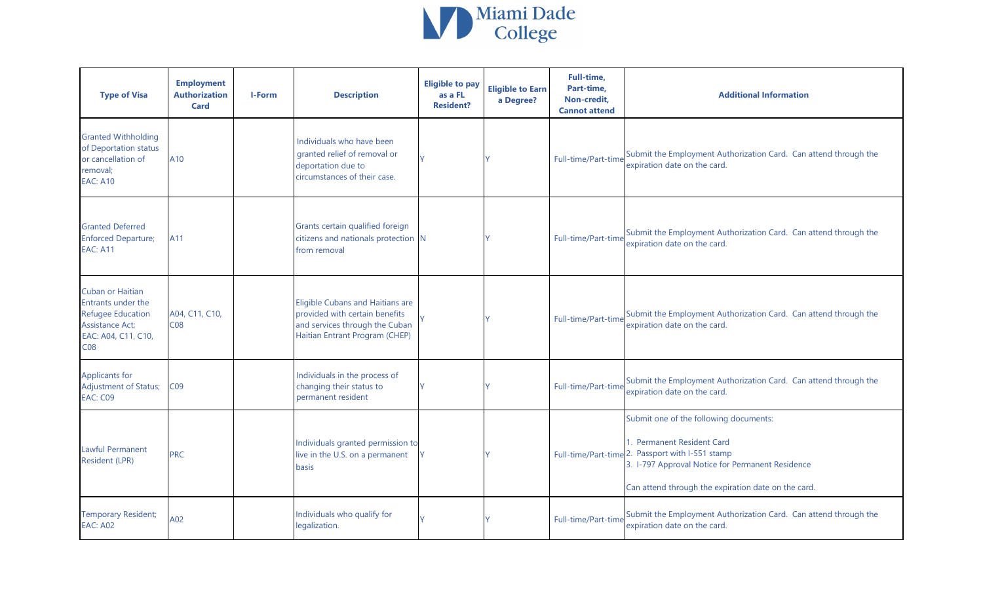

| <b>Type of Visa</b>                                                                                                                    | <b>Employment</b><br><b>Authorization</b><br><b>Card</b> | <b>I-Form</b> | <b>Description</b>                                                                                                                     | <b>Eligible to pay</b><br>as a FL<br><b>Resident?</b> | <b>Eligible to Earn</b><br>a Degree? | Full-time,<br>Part-time,<br>Non-credit,<br><b>Cannot attend</b> | <b>Additional Information</b>                                                                                                                                                                                                       |
|----------------------------------------------------------------------------------------------------------------------------------------|----------------------------------------------------------|---------------|----------------------------------------------------------------------------------------------------------------------------------------|-------------------------------------------------------|--------------------------------------|-----------------------------------------------------------------|-------------------------------------------------------------------------------------------------------------------------------------------------------------------------------------------------------------------------------------|
| <b>Granted Withholding</b><br>of Deportation status<br>or cancellation of<br>removal;<br><b>EAC: A10</b>                               | A10                                                      |               | Individuals who have been<br>granted relief of removal or<br>deportation due to<br>circumstances of their case.                        |                                                       |                                      | Full-time/Part-time                                             | Submit the Employment Authorization Card. Can attend through the<br>expiration date on the card.                                                                                                                                    |
| <b>Granted Deferred</b><br><b>Enforced Departure;</b><br><b>EAC: A11</b>                                                               | A11                                                      |               | Grants certain qualified foreign<br>citizens and nationals protection N<br>from removal                                                |                                                       |                                      | Full-time/Part-time                                             | Submit the Employment Authorization Card. Can attend through the<br>expiration date on the card.                                                                                                                                    |
| Cuban or Haitian<br>Entrants under the<br><b>Refugee Education</b><br><b>Assistance Act;</b><br>EAC: A04, C11, C10,<br>C <sub>08</sub> | A04, C11, C10,<br>C <sub>08</sub>                        |               | Eligible Cubans and Haitians are<br>provided with certain benefits<br>and services through the Cuban<br>Haitian Entrant Program (CHEP) |                                                       |                                      | Full-time/Part-time                                             | Submit the Employment Authorization Card. Can attend through the<br>expiration date on the card.                                                                                                                                    |
| Applicants for<br>Adjustment of Status;<br><b>EAC: C09</b>                                                                             | CO <sub>9</sub>                                          |               | Individuals in the process of<br>changing their status to<br>permanent resident                                                        |                                                       |                                      | Full-time/Part-time                                             | Submit the Employment Authorization Card. Can attend through the<br>expiration date on the card.                                                                                                                                    |
| <b>Lawful Permanent</b><br>Resident (LPR)                                                                                              | <b>PRC</b>                                               |               | Individuals granted permission to<br>live in the U.S. on a permanent<br>basis                                                          |                                                       |                                      |                                                                 | Submit one of the following documents:<br>1. Permanent Resident Card<br>Full-time/Part-time 2. Passport with I-551 stamp<br>3. I-797 Approval Notice for Permanent Residence<br>Can attend through the expiration date on the card. |
| <b>Temporary Resident;</b><br><b>EAC: A02</b>                                                                                          | A02                                                      |               | Individuals who qualify for<br>legalization.                                                                                           |                                                       |                                      | Full-time/Part-time                                             | Submit the Employment Authorization Card. Can attend through the<br>expiration date on the card.                                                                                                                                    |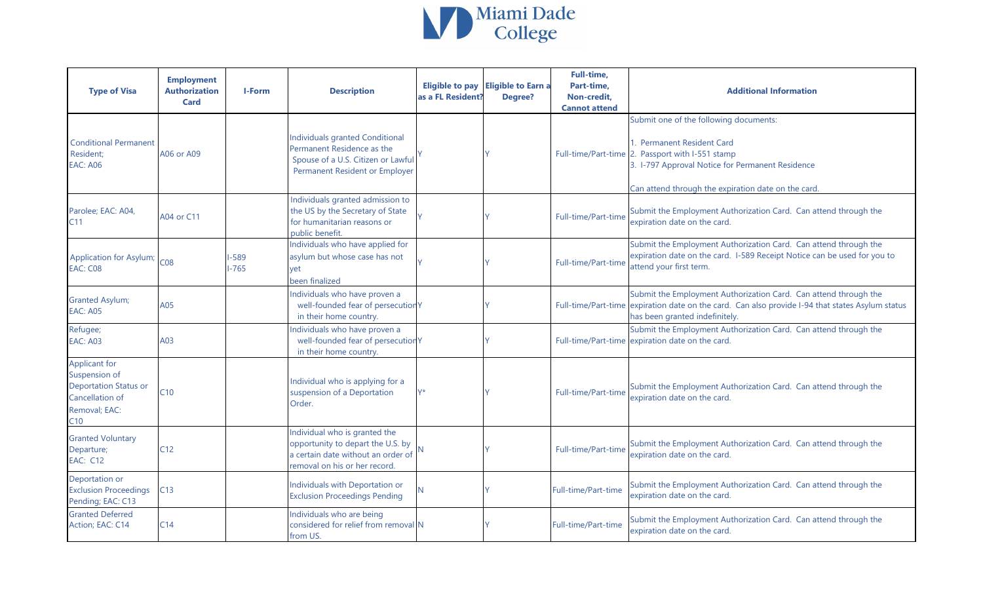

| <b>Type of Visa</b>                                                                                       | <b>Employment</b><br><b>Authorization</b><br><b>Card</b> | <b>I-Form</b>    | <b>Description</b>                                                                                                                           | <b>Eligible to pay</b><br>as a FL Resident? | <b>Eligible to Earn a</b><br>Degree? | <b>Full-time,</b><br>Part-time,<br>Non-credit,<br><b>Cannot attend</b> | <b>Additional Information</b>                                                                                                                                                                                                       |
|-----------------------------------------------------------------------------------------------------------|----------------------------------------------------------|------------------|----------------------------------------------------------------------------------------------------------------------------------------------|---------------------------------------------|--------------------------------------|------------------------------------------------------------------------|-------------------------------------------------------------------------------------------------------------------------------------------------------------------------------------------------------------------------------------|
| <b>Conditional Permanent</b><br>Resident;<br><b>EAC: A06</b>                                              | A06 or A09                                               |                  | <b>Individuals granted Conditional</b><br>Permanent Residence as the<br>Spouse of a U.S. Citizen or Lawful<br>Permanent Resident or Employer |                                             |                                      |                                                                        | Submit one of the following documents:<br>1. Permanent Resident Card<br>Full-time/Part-time 2. Passport with I-551 stamp<br>3. I-797 Approval Notice for Permanent Residence<br>Can attend through the expiration date on the card. |
| Parolee; EAC: A04,<br>C11                                                                                 | A04 or C11                                               |                  | Individuals granted admission to<br>the US by the Secretary of State<br>for humanitarian reasons or<br>public benefit.                       |                                             |                                      | Full-time/Part-time                                                    | Submit the Employment Authorization Card. Can attend through the<br>expiration date on the card.                                                                                                                                    |
| <b>Application for Asylum;</b><br>EAC: C08                                                                | CO8                                                      | $-589$<br>$-765$ | Individuals who have applied for<br>asylum but whose case has not<br>yet<br>been finalized                                                   |                                             |                                      | Full-time/Part-time                                                    | Submit the Employment Authorization Card. Can attend through the<br>expiration date on the card. I-589 Receipt Notice can be used for you to<br>attend your first term.                                                             |
| <b>Granted Asylum;</b><br><b>EAC: A05</b>                                                                 | A05                                                      |                  | Individuals who have proven a<br>well-founded fear of persecution Y<br>in their home country.                                                |                                             |                                      | Full-time/Part-time                                                    | Submit the Employment Authorization Card. Can attend through the<br>expiration date on the card. Can also provide I-94 that states Asylum status<br>has been granted indefinitely.                                                  |
| Refugee;<br><b>EAC: A03</b>                                                                               | A03                                                      |                  | Individuals who have proven a<br>well-founded fear of persecutior Y<br>in their home country.                                                |                                             |                                      | Full-time/Part-time                                                    | Submit the Employment Authorization Card. Can attend through the<br>expiration date on the card.                                                                                                                                    |
| Applicant for<br>Suspension of<br><b>Deportation Status or</b><br>Cancellation of<br>Removal; EAC:<br>C10 | C10                                                      |                  | Individual who is applying for a<br>suspension of a Deportation<br>Order.                                                                    | V*                                          |                                      | Full-time/Part-time                                                    | Submit the Employment Authorization Card. Can attend through the<br>expiration date on the card.                                                                                                                                    |
| <b>Granted Voluntary</b><br>Departure;<br><b>EAC: C12</b>                                                 | C12                                                      |                  | Individual who is granted the<br>opportunity to depart the U.S. by<br>a certain date without an order of<br>removal on his or her record.    |                                             |                                      | Full-time/Part-time                                                    | Submit the Employment Authorization Card. Can attend through the<br>expiration date on the card.                                                                                                                                    |
| Deportation or<br><b>Exclusion Proceedings</b><br>Pending; EAC: C13                                       | C13                                                      |                  | Individuals with Deportation or<br><b>Exclusion Proceedings Pending</b>                                                                      |                                             |                                      | Full-time/Part-time                                                    | Submit the Employment Authorization Card. Can attend through the<br>expiration date on the card.                                                                                                                                    |
| <b>Granted Deferred</b><br>Action; EAC: C14                                                               | C14                                                      |                  | Individuals who are being<br>considered for relief from removal N<br>from US.                                                                |                                             |                                      | Full-time/Part-time                                                    | Submit the Employment Authorization Card. Can attend through the<br>expiration date on the card.                                                                                                                                    |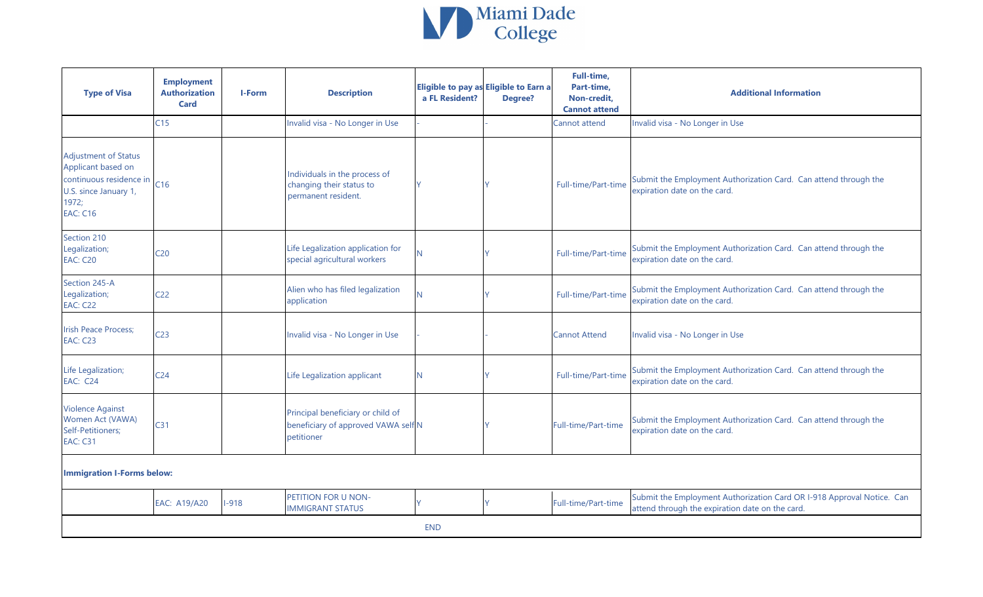

| <b>Type of Visa</b>                                                                                                                           | <b>Employment</b><br><b>Authorization</b><br><b>Card</b> | I-Form | <b>Description</b>                                                                     | a FL Resident? | Eligible to pay as Eligible to Earn a<br><b>Degree?</b> | <b>Full-time,</b><br>Part-time,<br>Non-credit,<br><b>Cannot attend</b> | <b>Additional Information</b>                                                                                            |
|-----------------------------------------------------------------------------------------------------------------------------------------------|----------------------------------------------------------|--------|----------------------------------------------------------------------------------------|----------------|---------------------------------------------------------|------------------------------------------------------------------------|--------------------------------------------------------------------------------------------------------------------------|
|                                                                                                                                               | C15                                                      |        | Invalid visa - No Longer in Use                                                        |                |                                                         | Cannot attend                                                          | Invalid visa - No Longer in Use                                                                                          |
| <b>Adjustment of Status</b><br>Applicant based on<br>continuous residence in $\vert$ C16<br>U.S. since January 1,<br>1972;<br><b>EAC: C16</b> |                                                          |        | Individuals in the process of<br>changing their status to<br>permanent resident.       |                |                                                         | Full-time/Part-time                                                    | Submit the Employment Authorization Card. Can attend through the<br>expiration date on the card.                         |
| Section 210<br>Legalization;<br><b>EAC: C20</b>                                                                                               | C <sub>20</sub>                                          |        | Life Legalization application for<br>special agricultural workers                      |                |                                                         | Full-time/Part-time                                                    | Submit the Employment Authorization Card. Can attend through the<br>expiration date on the card.                         |
| Section 245-A<br>Legalization;<br><b>EAC: C22</b>                                                                                             | C <sub>22</sub>                                          |        | Alien who has filed legalization<br>application                                        |                |                                                         | Full-time/Part-time                                                    | Submit the Employment Authorization Card. Can attend through the<br>expiration date on the card.                         |
| <b>Irish Peace Process;</b><br><b>EAC: C23</b>                                                                                                | C <sub>23</sub>                                          |        | Invalid visa - No Longer in Use                                                        |                |                                                         | <b>Cannot Attend</b>                                                   | Invalid visa - No Longer in Use                                                                                          |
| Life Legalization;<br><b>EAC: C24</b>                                                                                                         | C <sub>24</sub>                                          |        | Life Legalization applicant                                                            | N.             |                                                         | Full-time/Part-time                                                    | Submit the Employment Authorization Card. Can attend through the<br>expiration date on the card.                         |
| <b>Violence Against</b><br>Women Act (VAWA)<br>Self-Petitioners;<br><b>EAC: C31</b>                                                           | C <sub>31</sub>                                          |        | Principal beneficiary or child of<br>beneficiary of approved VAWA self N<br>petitioner |                |                                                         | Full-time/Part-time                                                    | Submit the Employment Authorization Card. Can attend through the<br>expiration date on the card.                         |
| <b>Immigration I-Forms below:</b>                                                                                                             |                                                          |        |                                                                                        |                |                                                         |                                                                        |                                                                                                                          |
|                                                                                                                                               |                                                          |        | <b>DETITION FOR U. MONT</b>                                                            |                |                                                         |                                                                        | when the contract of the contract of<br>$\mathbf{r}$ and $\mathbf{r}$ and $\mathbf{r}$ and $\mathbf{r}$ and $\mathbf{r}$ |

| <b>EAC: A19/A20</b> | $1 - 918$ | <b>PETITION FOR U NON-</b><br><b>IMMIGRANT STATUS</b> |            | Full-time/Part-time | Submit the Employment Authorization Card OR I-918 Approval Notice. Can<br>attend through the expiration date on the card. |
|---------------------|-----------|-------------------------------------------------------|------------|---------------------|---------------------------------------------------------------------------------------------------------------------------|
|                     |           |                                                       | <b>END</b> |                     |                                                                                                                           |